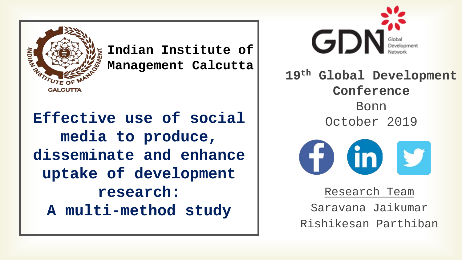

**Indian Institute of Management Calcutta**

**Effective use of social media to produce, disseminate and enhance uptake of development research: A multi-method study**



**19th Global Development Conference** Bonn October 2019



Research Team Saravana Jaikumar Rishikesan Parthiban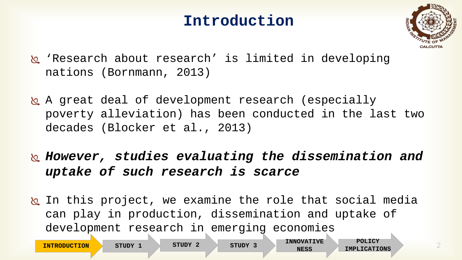### **Introduction**



- 'Research about research' is limited in developing nations (Bornmann, 2013)
- A great deal of development research (especially poverty alleviation) has been conducted in the last two decades (Blocker et al., 2013)
- *However, studies evaluating the dissemination and uptake of such research is scarce*
- **In this project, we examine the role that social media** can play in production, dissemination and uptake of development research in emerging economies

**INTRODUCTION** STUDY 1 STUDY 2 STUDY 3 NESS IMPLICATIONS

**STUDY 3 INNOVATIVE** 

**NESS**

**POLICY** 

2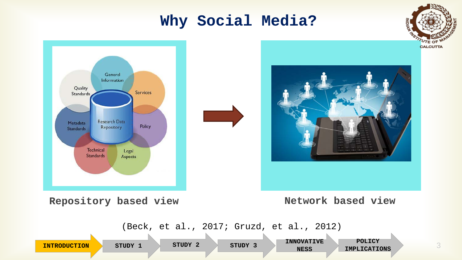### **Why Social Media?**

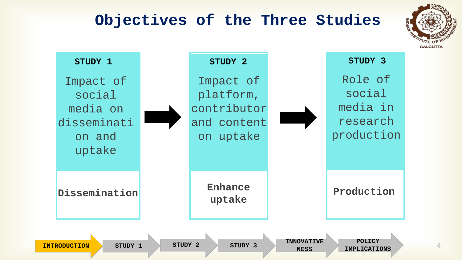### **Objectives of the Three Studies**



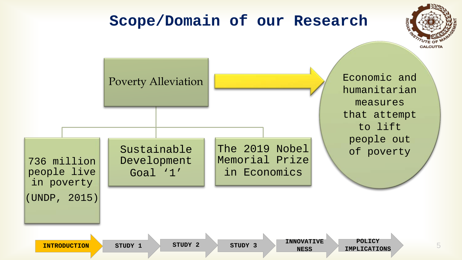#### **Scope/Domain of our Research CALCUTTA** Economic and Poverty Alleviation humanitarian measures that attempt to lift people out The 2019 Nobel Sustainable of poverty Memorial Prize 736 million Development people live in Economics Goal '1' in poverty (UNDP, 2015) **POLICY STUDY 3 INNOVATIVE**  5 **INTRODUCTION** STUDY 1 STUDY 2 STUDY 3 NESS IMPLICATIONS **NESS**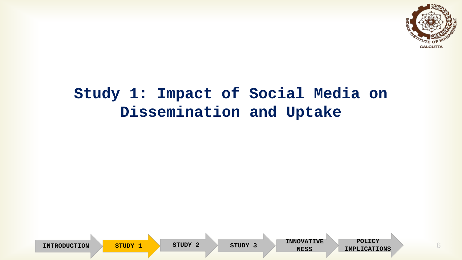

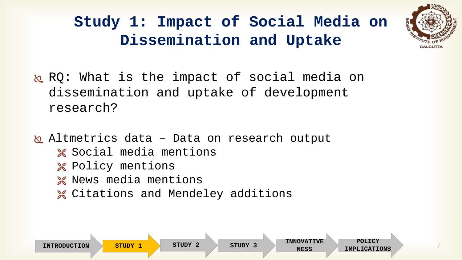

- RQ: What is the impact of social media on dissemination and uptake of development research?
- hetrics data Data on research output
	- **X** Social media mentions
	- **X** Policy mentions
	- **X** News media mentions
	- **X** Citations and Mendeley additions

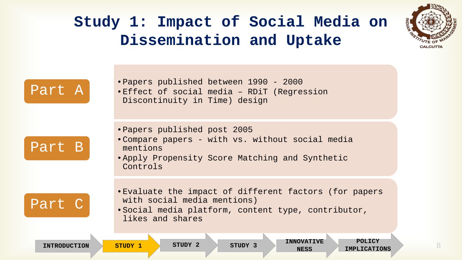

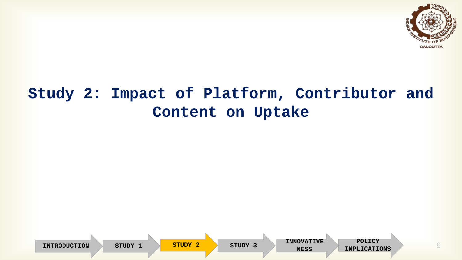

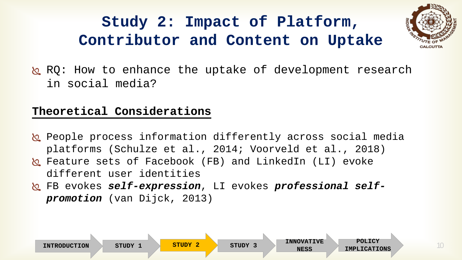

 $\&$  RO: How to enhance the uptake of development research in social media?

#### **Theoretical Considerations**

- **People process information differently across social media** platforms (Schulze et al., 2014; Voorveld et al., 2018)
- Feature sets of Facebook (FB) and LinkedIn (LI) evoke different user identities
- FB evokes *self-expression*, LI evokes *professional selfpromotion* (van Dijck, 2013)

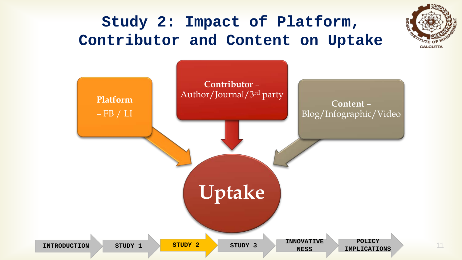



11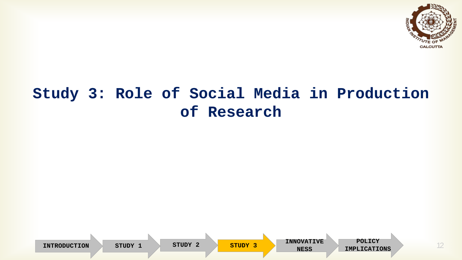

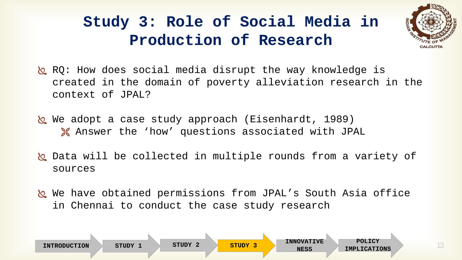

- RQ: How does social media disrupt the way knowledge is created in the domain of poverty alleviation research in the context of JPAL?
- We adopt a case study approach (Eisenhardt, 1989) Answer the 'how' questions associated with JPAL
- b Data will be collected in multiple rounds from a variety of sources
- We have obtained permissions from JPAL's South Asia office in Chennai to conduct the case study research

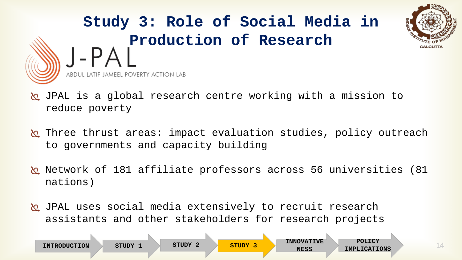

- JPAL is a global research centre working with a mission to reduce poverty
- **In** Three thrust areas: impact evaluation studies, policy outreach to governments and capacity building
- Network of 181 affiliate professors across 56 universities (81 nations)
- JPAL uses social media extensively to recruit research assistants and other stakeholders for research projects

|                     |       | STUDY 2 | STUDY 3 | <b>INNOVATIVE</b> | POLICY              |
|---------------------|-------|---------|---------|-------------------|---------------------|
| <b>INTRODUCTION</b> | STUDY |         |         | <b>NESS</b>       | <b>IMPLICATIONS</b> |
|                     |       |         |         |                   |                     |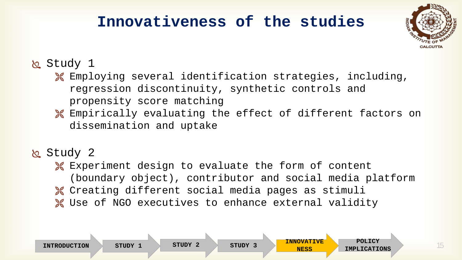### **Innovativeness of the studies**



#### Study 1

- Employing several identification strategies, including, regression discontinuity, synthetic controls and propensity score matching
- Empirically evaluating the effect of different factors on dissemination and uptake

#### Study 2

**X** Experiment design to evaluate the form of content (boundary object), contributor and social media platform Creating different social media pages as stimuli **X** Use of NGO executives to enhance external validity

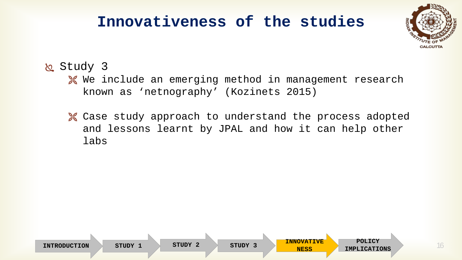### **Innovativeness of the studies**



16

#### Study 3

- **W** We include an emerging method in management research known as 'netnography' (Kozinets 2015)
- Case study approach to understand the process adopted and lessons learnt by JPAL and how it can help other labs

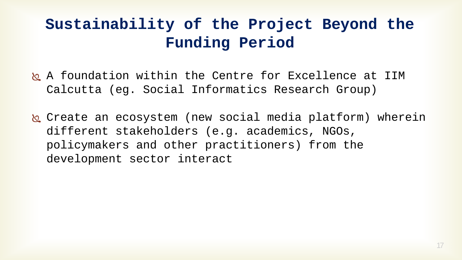# **Sustainability of the Project Beyond the Funding Period**

- A foundation within the Centre for Excellence at IIM Calcutta (eg. Social Informatics Research Group)
- Create an ecosystem (new social media platform) wherein different stakeholders (e.g. academics, NGOs, policymakers and other practitioners) from the development sector interact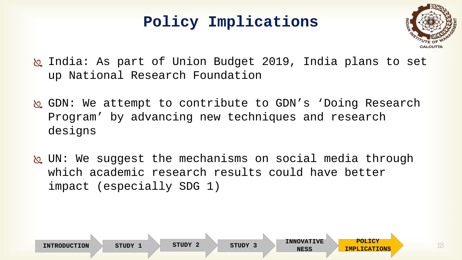### **Policy Implications**



- India: As part of Union Budget 2019, India plans to set up National Research Foundation
- GDN: We attempt to contribute to GDN's 'Doing Research Program' by advancing new techniques and research designs
- UN: We suggest the mechanisms on social media through which academic research results could have better impact (especially SDG 1)

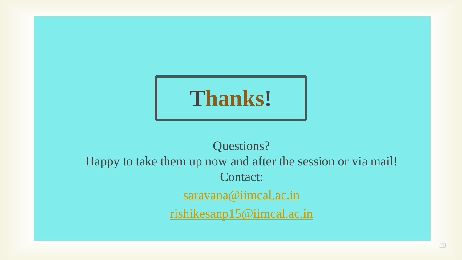

# Questions? Happy to take them up now and after the session or via mail! Contact: [saravana@iimcal.ac.in](mailto:saravana@iimcal.ac.in) [rishikesanp15@iimcal.ac.in](mailto:rishikesanp15@iimcal.ac.in)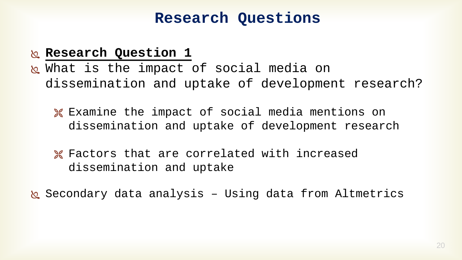### **Research Questions**

#### **Research Question 1**

- w What is the impact of social media on dissemination and uptake of development research?
	- **X** Examine the impact of social media mentions on dissemination and uptake of development research
	- **X** Factors that are correlated with increased dissemination and uptake
- Secondary data analysis Using data from Altmetrics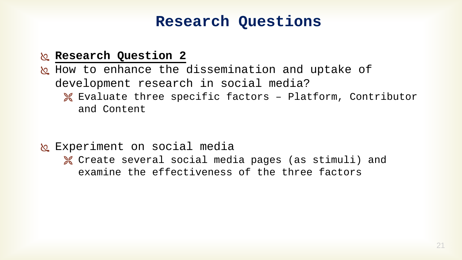### **Research Questions**

#### **Research Question 2**

heta How to enhance the dissemination and uptake of development research in social media? Evaluate three specific factors – Platform, Contributor and Content

- **R** Experiment on social media
	- Create several social media pages (as stimuli) and examine the effectiveness of the three factors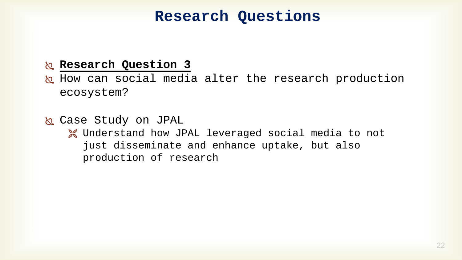### **Research Questions**

#### **Research Question 3**

he How can social media alter the research production ecosystem?

 Case Study on JPAL Understand how JPAL leveraged social media to not just disseminate and enhance uptake, but also production of research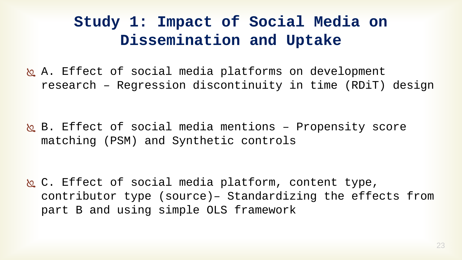**b.** A. Effect of social media platforms on development research – Regression discontinuity in time (RDiT) design

 B. Effect of social media mentions – Propensity score matching (PSM) and Synthetic controls

 C. Effect of social media platform, content type, contributor type (source)– Standardizing the effects from part B and using simple OLS framework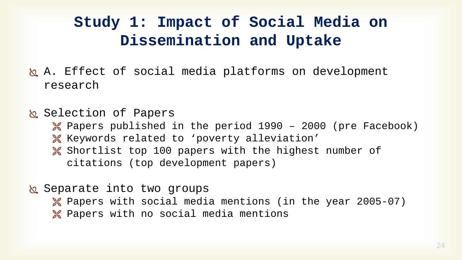- heta. Effect of social media platforms on development research
- k Selection of Papers
	- $\%$  Papers published in the period 1990 2000 (pre Facebook)
	- Keywords related to 'poverty alleviation'
	- **X** Shortlist top 100 papers with the highest number of citations (top development papers)
- **&** Separate into two groups
	- Papers with social media mentions (in the year 2005-07)
	- **X** Papers with no social media mentions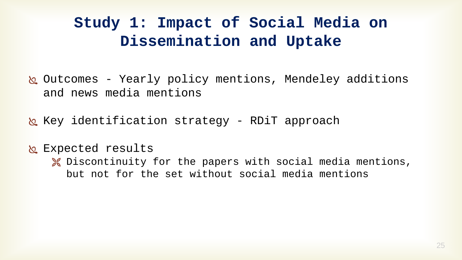Outcomes - Yearly policy mentions, Mendeley additions and news media mentions

 $\&$  Key identification strategy - RDiT approach

**R** Expected results

**X** Discontinuity for the papers with social media mentions, but not for the set without social media mentions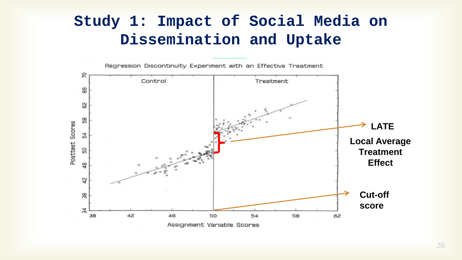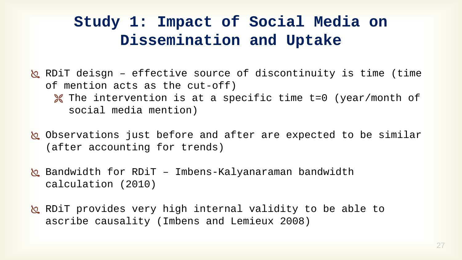- $\&$  RDiT deisgn effective source of discontinuity is time (time of mention acts as the cut-off) **X** The intervention is at a specific time t=0 (year/month of social media mention)
- Observations just before and after are expected to be similar (after accounting for trends)
- $\&$  Bandwidth for RDiT Imbens-Kalyanaraman bandwidth calculation (2010)
- k RDiT provides very high internal validity to be able to ascribe causality (Imbens and Lemieux 2008)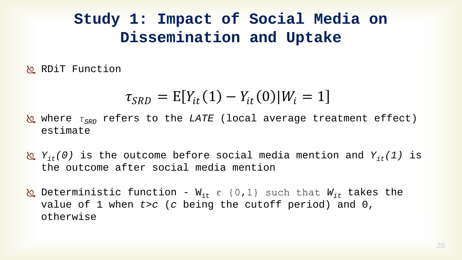**RDiT Function** 

$$
\tau_{SRD} = E[Y_{it}(1) - Y_{it}(0)|W_i = 1]
$$

- **&** where *τ<sub>SRD</sub>* refers to the *LATE* (local average treatment effect) estimate
- *Yit(0)* is the outcome before social media mention and *Yit(1)* is the outcome after social media mention
- $\&$  Deterministic function W<sub>it</sub> ε {0,1} such that W<sub>it</sub> takes the value of 1 when *t>c* (*c* being the cutoff period) and 0, otherwise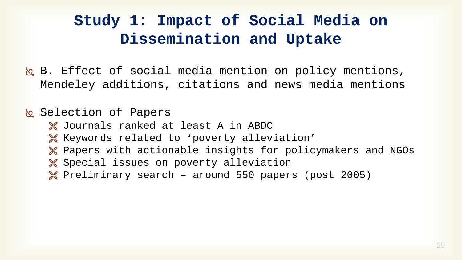B. Effect of social media mention on policy mentions, Mendeley additions, citations and news media mentions

#### & Selection of Papers

- Journals ranked at least A in ABDC
- Keywords related to 'poverty alleviation'
- Papers with actionable insights for policymakers and NGOs
- **X** Special issues on poverty alleviation
- $%$  Preliminary search around 550 papers (post 2005)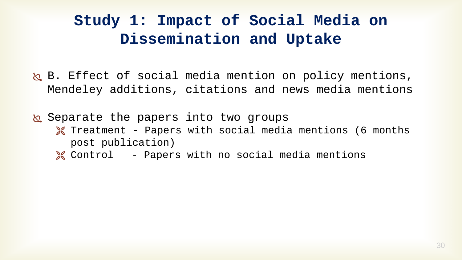b. Effect of social media mention on policy mentions, Mendeley additions, citations and news media mentions

& Separate the papers into two groups

- **X** Treatment Papers with social media mentions (6 months post publication)
- Control Papers with no social media mentions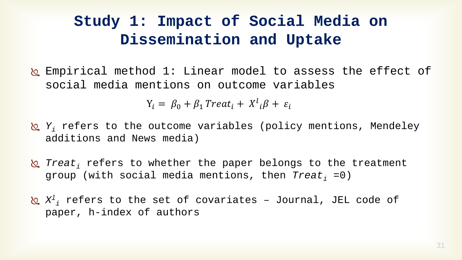k Empirical method 1: Linear model to assess the effect of social media mentions on outcome variables

 $Y_i = \beta_0 + \beta_1$  Treat<sub>i</sub> +  $X^l{}_i \beta + \varepsilon_i$ 

- *Y<sub>i</sub>* refers to the outcome variables (policy mentions, Mendeley additions and News media)
- *I Treat*, refers to whether the paper belongs to the treatment group (with social media mentions, then *Treat*, =0)
- $\pmb{\otimes}$   $X^{1}{}_{i}$  refers to the set of covariates Journal, JEL code of paper, h-index of authors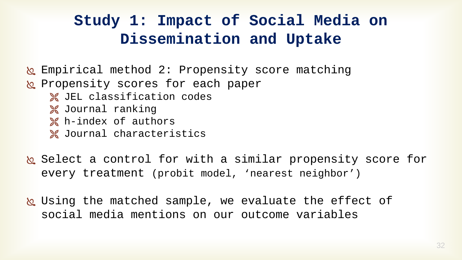- k Empirical method 2: Propensity score matching
- propensity scores for each paper
	- **X** JEL classification codes
	- **X** Journal ranking
	- **X** h-index of authors
	- Journal characteristics
- Select a control for with a similar propensity score for every treatment (probit model, 'nearest neighbor')
- Using the matched sample, we evaluate the effect of social media mentions on our outcome variables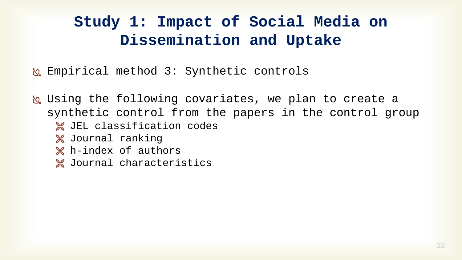Empirical method 3: Synthetic controls

 Using the following covariates, we plan to create a synthetic control from the papers in the control group **X** JEL classification codes Journal ranking **X** h-index of authors **X** Journal characteristics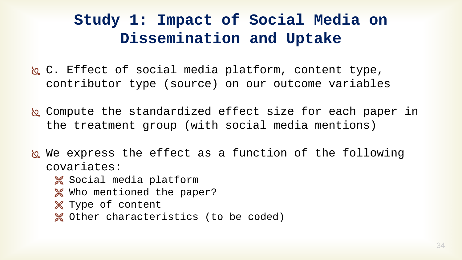- C. Effect of social media platform, content type, contributor type (source) on our outcome variables
- Compute the standardized effect size for each paper in the treatment group (with social media mentions)
- We express the effect as a function of the following covariates:
	- **X** Social media platform
	- **Who mentioned the paper?**
	- **X** Type of content
	- **X** Other characteristics (to be coded)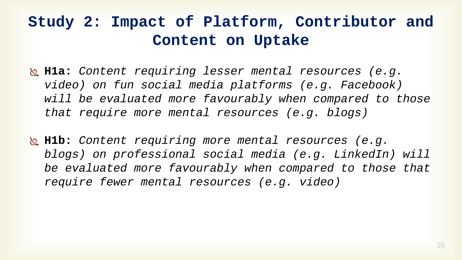- **H1a:** *Content requiring lesser mental resources (e.g. video) on fun social media platforms (e.g. Facebook) will be evaluated more favourably when compared to those that require more mental resources (e.g. blogs)*
- **H1b:** *Content requiring more mental resources (e.g. blogs) on professional social media (e.g. LinkedIn) will be evaluated more favourably when compared to those that require fewer mental resources (e.g. video)*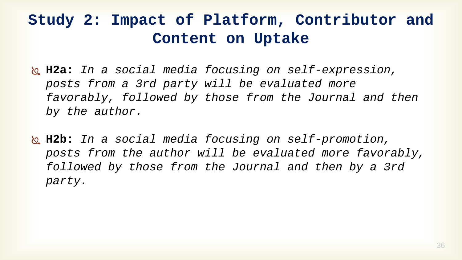- **H2a:** *In a social media focusing on self-expression, posts from a 3rd party will be evaluated more favorably, followed by those from the Journal and then by the author.*
- **H2b:** *In a social media focusing on self-promotion, posts from the author will be evaluated more favorably, followed by those from the Journal and then by a 3rd party.*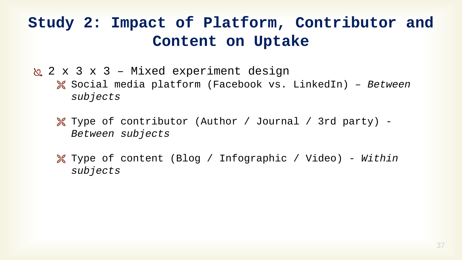2 x 3 x 3 – Mixed experiment design

 Social media platform (Facebook vs. LinkedIn) – *Between subjects*

 Type of contributor (Author / Journal / 3rd party) - *Between subjects*

 Type of content (Blog / Infographic / Video) - *Within subjects*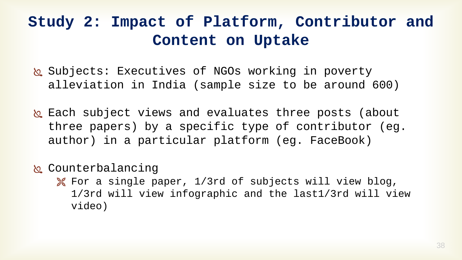- Subjects: Executives of NGOs working in poverty alleviation in India (sample size to be around 600)
- **b** Each subject views and evaluates three posts (about three papers) by a specific type of contributor (eg. author) in a particular platform (eg. FaceBook)
- k Counterbalancing
	- For a single paper, 1/3rd of subjects will view blog, 1/3rd will view infographic and the last1/3rd will view video)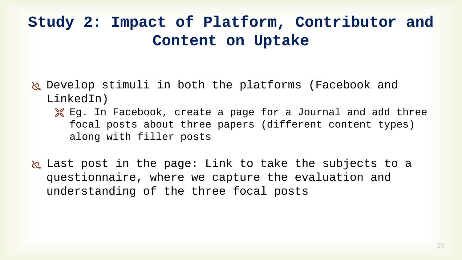- Develop stimuli in both the platforms (Facebook and LinkedIn)
	- **K** Eq. In Facebook, create a page for a Journal and add three focal posts about three papers (different content types) along with filler posts
- Last post in the page: Link to take the subjects to a questionnaire, where we capture the evaluation and understanding of the three focal posts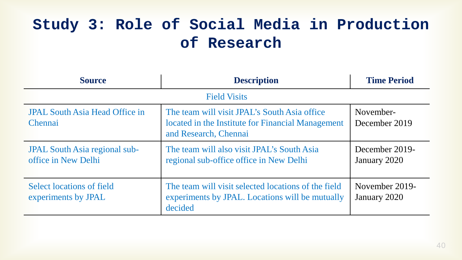| <b>Source</b>                                               | <b>Description</b>                                                                                                         | <b>Time Period</b>             |  |  |
|-------------------------------------------------------------|----------------------------------------------------------------------------------------------------------------------------|--------------------------------|--|--|
| <b>Field Visits</b>                                         |                                                                                                                            |                                |  |  |
| <b>JPAL South Asia Head Office in</b><br>Chennai            | The team will visit JPAL's South Asia office<br>located in the Institute for Financial Management<br>and Research, Chennai | November-<br>December 2019     |  |  |
| <b>JPAL South Asia regional sub-</b><br>office in New Delhi | The team will also visit JPAL's South Asia<br>regional sub-office office in New Delhi                                      | December 2019-<br>January 2020 |  |  |
| Select locations of field<br>experiments by JPAL            | The team will visit selected locations of the field<br>experiments by JPAL. Locations will be mutually<br>decided          | November 2019-<br>January 2020 |  |  |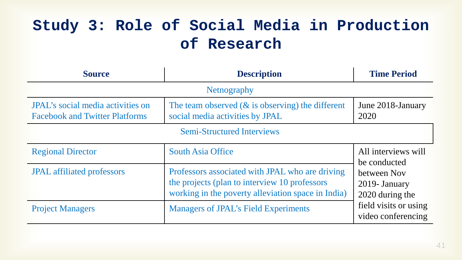| <b>Source</b>                                                                     | <b>Description</b>                                                                                                                                      | <b>Time Period</b>                                                                             |  |  |  |
|-----------------------------------------------------------------------------------|---------------------------------------------------------------------------------------------------------------------------------------------------------|------------------------------------------------------------------------------------------------|--|--|--|
| <b>Nethography</b>                                                                |                                                                                                                                                         |                                                                                                |  |  |  |
| <b>JPAL's social media activities on</b><br><b>Facebook and Twitter Platforms</b> | The team observed $(\&$ is observing) the different<br>social media activities by JPAL                                                                  | June 2018-January<br>2020                                                                      |  |  |  |
| <b>Semi-Structured Interviews</b>                                                 |                                                                                                                                                         |                                                                                                |  |  |  |
| <b>Regional Director</b>                                                          | <b>South Asia Office</b>                                                                                                                                | All interviews will<br>be conducted                                                            |  |  |  |
| <b>JPAL</b> affiliated professors                                                 | Professors associated with JPAL who are driving<br>the projects (plan to interview 10 professors)<br>working in the poverty alleviation space in India) | between Nov<br>2019- January<br>2020 during the<br>field visits or using<br>video conferencing |  |  |  |
| <b>Project Managers</b>                                                           | <b>Managers of JPAL's Field Experiments</b>                                                                                                             |                                                                                                |  |  |  |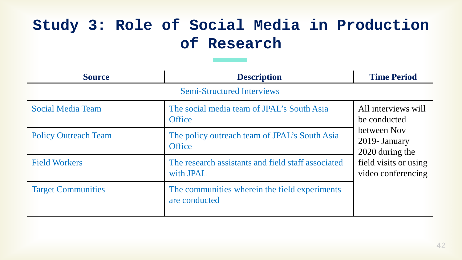| <b>Source</b>                     | <b>Description</b>                                              | <b>Time Period</b>                                                                                                                    |  |  |  |
|-----------------------------------|-----------------------------------------------------------------|---------------------------------------------------------------------------------------------------------------------------------------|--|--|--|
| <b>Semi-Structured Interviews</b> |                                                                 |                                                                                                                                       |  |  |  |
| <b>Social Media Team</b>          | The social media team of JPAL's South Asia<br><b>Office</b>     | All interviews will<br>be conducted<br>between Nov<br>2019- January<br>2020 during the<br>field visits or using<br>video conferencing |  |  |  |
| <b>Policy Outreach Team</b>       | The policy outreach team of JPAL's South Asia<br><b>Office</b>  |                                                                                                                                       |  |  |  |
| <b>Field Workers</b>              | The research assistants and field staff associated<br>with JPAL |                                                                                                                                       |  |  |  |
| <b>Target Communities</b>         | The communities wherein the field experiments<br>are conducted  |                                                                                                                                       |  |  |  |